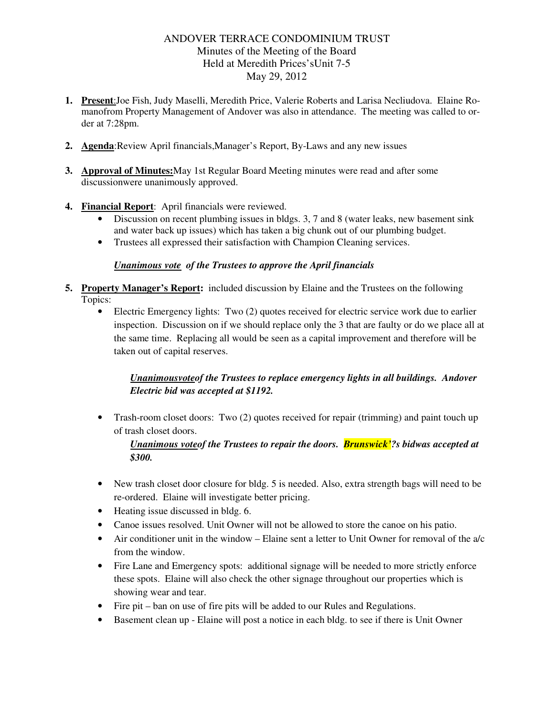# ANDOVER TERRACE CONDOMINIUM TRUST Minutes of the Meeting of the Board Held at Meredith Prices'sUnit 7-5 May 29, 2012

- **1. Present**:Joe Fish, Judy Maselli, Meredith Price, Valerie Roberts and Larisa Necliudova. Elaine Romanofrom Property Management of Andover was also in attendance. The meeting was called to order at 7:28pm.
- **2. Agenda**:Review April financials,Manager's Report, By-Laws and any new issues
- **3. Approval of Minutes:**May 1st Regular Board Meeting minutes were read and after some discussionwere unanimously approved.
- **4. Financial Report**: April financials were reviewed.
	- Discussion on recent plumbing issues in bldgs. 3, 7 and 8 (water leaks, new basement sink and water back up issues) which has taken a big chunk out of our plumbing budget.
	- Trustees all expressed their satisfaction with Champion Cleaning services.

### *Unanimous vote of the Trustees to approve the April financials*

- **5. Property Manager's Report:** included discussion by Elaine and the Trustees on the following Topics:
	- Electric Emergency lights: Two (2) quotes received for electric service work due to earlier inspection. Discussion on if we should replace only the 3 that are faulty or do we place all at the same time. Replacing all would be seen as a capital improvement and therefore will be taken out of capital reserves.

# *Unanimousvoteof the Trustees to replace emergency lights in all buildings. Andover Electric bid was accepted at \$1192.*

• Trash-room closet doors: Two (2) quotes received for repair (trimming) and paint touch up of trash closet doors.

### *Unanimous voteof the Trustees to repair the doors. Brunswick'?s bidwas accepted at \$300.*

- New trash closet door closure for bldg. 5 is needed. Also, extra strength bags will need to be re-ordered. Elaine will investigate better pricing.
- Heating issue discussed in bldg. 6.
- Canoe issues resolved. Unit Owner will not be allowed to store the canoe on his patio.
- Air conditioner unit in the window Elaine sent a letter to Unit Owner for removal of the a/c from the window.
- Fire Lane and Emergency spots: additional signage will be needed to more strictly enforce these spots. Elaine will also check the other signage throughout our properties which is showing wear and tear.
- Fire pit ban on use of fire pits will be added to our Rules and Regulations.
- Basement clean up Elaine will post a notice in each bldg. to see if there is Unit Owner